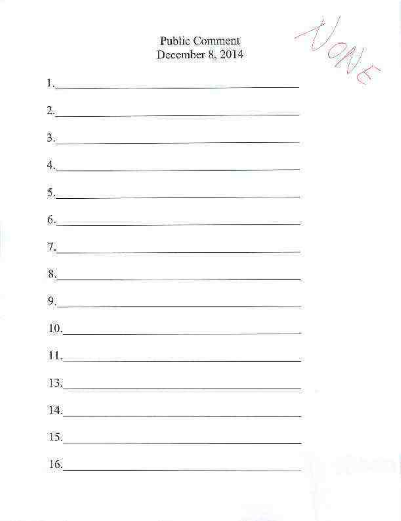# Public Comment December 8, 2014



|     | <u> 1, para de la componente de la componente de la componente de la componente de la componente de la componente de la componente de la componente de la componente de la componente de la componente de la componente de la co</u> |
|-----|--------------------------------------------------------------------------------------------------------------------------------------------------------------------------------------------------------------------------------------|
| 2.5 |                                                                                                                                                                                                                                      |
|     | $\overline{\mathbf{3}}_k$                                                                                                                                                                                                            |
|     | $\overline{4}$ , $\overline{4}$                                                                                                                                                                                                      |
|     | 5.                                                                                                                                                                                                                                   |
|     |                                                                                                                                                                                                                                      |
|     | 6.                                                                                                                                                                                                                                   |
|     | $\frac{1}{2}$                                                                                                                                                                                                                        |
|     | 8.                                                                                                                                                                                                                                   |
|     | 9.                                                                                                                                                                                                                                   |
|     | 10.                                                                                                                                                                                                                                  |
|     | $\mathbf{11.}$                                                                                                                                                                                                                       |
| 13. |                                                                                                                                                                                                                                      |
| 14. |                                                                                                                                                                                                                                      |
| 15. |                                                                                                                                                                                                                                      |
| 16. | <u> 1980 - Jan Barnett, amerikan bizkai da</u>                                                                                                                                                                                       |
|     |                                                                                                                                                                                                                                      |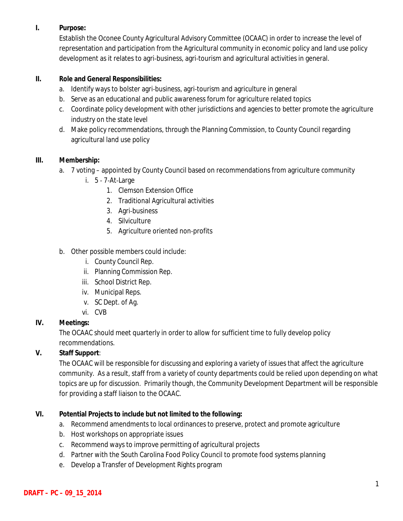# **I. Purpose:**

Establish the Oconee County Agricultural Advisory Committee (OCAAC) in order to increase the level of representation and participation from the Agricultural community in economic policy and land use policy development as it relates to agri‐business, agri‐tourism and agricultural activities in general.

# **II. Role and General Responsibilities:**

- a. Identify ways to bolster agri-business, agri-tourism and agriculture in general
- b. Serve as an educational and public awareness forum for agriculture related topics
- c. Coordinate policy development with other jurisdictions and agencies to better promote the agriculture industry on the state level
- d. Make policy recommendations, through the Planning Commission, to County Council regarding agricultural land use policy

### **III. Membership:**

- a. 7 voting appointed by County Council based on recommendations from agriculture community
	- i. 5 ‐ 7‐At‐Large
		- 1. Clemson Extension Office
		- 2. Traditional Agricultural activities
		- 3. Agri‐business
		- 4. Silviculture
		- 5. Agriculture oriented non‐profits

### b. Other possible members could include:

- i. County Council Rep.
- ii. Planning Commission Rep.
- iii. School District Rep.
- iv. Municipal Reps.
- v. SC Dept. of Ag.
- vi. CVB

# **IV. Meetings:**

The OCAAC should meet quarterly in order to allow for sufficient time to fully develop policy recommendations.

### **V. Staff Support**:

The OCAAC will be responsible for discussing and exploring a variety of issues that affect the agriculture community. As a result, staff from a variety of county departments could be relied upon depending on what topics are up for discussion. Primarily though, the Community Development Department will be responsible for providing a staff liaison to the OCAAC.

### **VI. Potential Projects to include but not limited to the following:**

- a. Recommend amendments to local ordinances to preserve, protect and promote agriculture
- b. Host workshops on appropriate issues
- c. Recommend ways to improve permitting of agricultural projects
- d. Partner with the South Carolina Food Policy Council to promote food systems planning
- e. Develop a Transfer of Development Rights program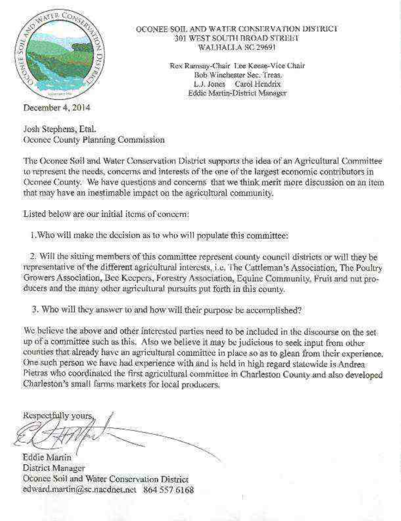

OCONEE SOIL AND WATER CONSERVATION DISTRICT 301 WEST SOUTH BROAD STREET WALHALLA SC 29691

> Rex Ramsay-Chair Lee Keese-Vice Chair Bob Winchester Sec. Treas. L.J. Jones Carol Hendrix Eddie Martin-District Manager

December 4, 2014

Josh Stephens, Etal. Oconce County Planning Commission

The Oconee Soil and Water Conservation District supports the idea of an Agricultural Committee to represent the needs, concerns and interests of the one of the largest economic contributors in Oconee County. We have questions and concerns that we think merit more discussion on an item that may have an inestimable impact on the agricultural community.

Listed below are our initial items of concern:

1. Who will make the decision as to who will populate this committee:

2. Will the sitting members of this committee represent county council districts or will they be representative of the different agricultural interests, i.e. The Cattleman's Association, The Poultry Growers Association, Bee Keepers, Forestry Association, Equine Community. Fruit and nut producers and the many other agricultural pursuits put forth in this county.

3. Who will they answer to and how will their purpose be accomplished?

We believe the above and other interested parties need to be included in the discourse on the set. up of a committee such as this. Also we believe it may be judicious to seek input from other counties that already have an agricultural committee in place so as to glean from their experience. One such person we have had experience with and is held in high regard statewide is Andrea. Pietras who coordinated the first agricultural committee in Charleston County and also developed Charleston's small farms markets for local producers.

Ħ

Respectfully yours

**Eddie Martin** District Manager Oconee Soil and Water Conservation District edward.martin@sc.nacdnet.net 864 557 6168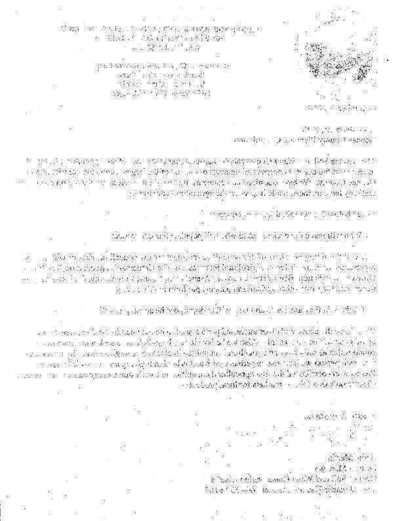

contract in some competence

2 形成 2 中国語系: 1000 点 名称是被打入的中点, 化高效率 0 分类化 4 多位的 地下 I am the second was the common members to constant the in the control of the state of the control of strength and spot season with the state of the marked by the third part of the state of the state of the state of the state of the state of the state of the state of

> $\mathcal{L}^{\mathcal{M}}(\mathcal{M},\mathcal{N},\mathcal{M})\leq\mathcal{L}^{\mathcal{M}}(\mathcal{M},\mathcal{M})$

South Rosen (2019) Andrew the Paul Care La mile

The constant larger and compared the second format second second ... where the contractors are the states in the contractors in the state of the states of the states and is not a contract of the contract of the second contract of the second second I was the common was made as stated in the common was comed

麻

浙

凉

Ш

 $\langle \rangle$ 

the content to the finger of the set in the set of the set of the state

we always the later stage to the last of a discussion that they seems it was a little communication descended and the state of the state of the state of the state of the state of country of such content that the last interval and the sun of a such shot in this country comparison and constructed desired with small boundary and sent this is constanting of the two managements of the state of the second temperature of the community of the contract of the second a characterization and and a manifest and the contraction



 $64$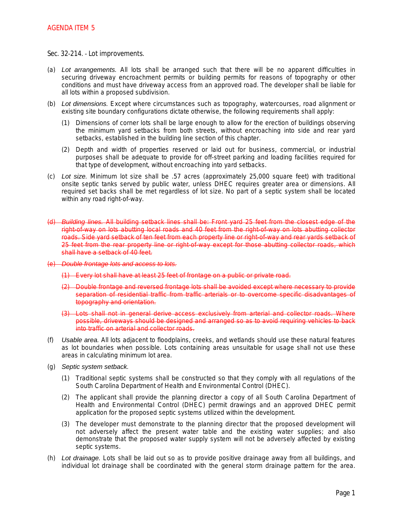#### Sec. 32‐214. ‐ Lot improvements.

- (a) *Lot arrangements.* All lots shall be arranged such that there will be no apparent difficulties in securing driveway encroachment permits or building permits for reasons of topography or other conditions and must have driveway access from an approved road. The developer shall be liable for all lots within a proposed subdivision.
- (b) *Lot dimensions.* Except where circumstances such as topography, watercourses, road alignment or existing site boundary configurations dictate otherwise, the following requirements shall apply:
	- (1) Dimensions of corner lots shall be large enough to allow for the erection of buildings observing the minimum yard setbacks from both streets, without encroaching into side and rear yard setbacks, established in the building line section of this chapter.
	- (2) Depth and width of properties reserved or laid out for business, commercial, or industrial purposes shall be adequate to provide for off-street parking and loading facilities required for that type of development, without encroaching into yard setbacks.
- (c) *Lot size.* Minimum lot size shall be .57 acres (approximately 25,000 square feet) with traditional onsite septic tanks served by public water, unless DHEC requires greater area or dimensions. All required set backs shall be met regardless of lot size. No part of a septic system shall be located within any road right-of-way.
- (d) *Building lines.* All building setback lines shall be: Front yard 25 feet from the closest edge of the right-of-way on lots abutting local roads and 40 feet from the right-of-way on lots abutting collector roads. Side yard setback of ten feet from each property line or right-of-way and rear yards setback of 25 feet from the rear property line or right-of-way except for those abutting collector roads, which shall have a setback of 40 feet.
- (e) *Double frontage lots and access to lots.*
	- (1) Every lot shall have at least 25 feet of frontage on a public or private road.
	- (2) Double frontage and reversed frontage lots shall be avoided except where necessary to provide separation of residential traffic from traffic arterials or to overcome specific disadvantages of topography and orientation.
	- (3) Lots shall not in general derive access exclusively from arterial and collector roads. Where possible, driveways should be designed and arranged so as to avoid requiring vehicles to back into traffic on arterial and collector roads.
- (f) *Usable area.* All lots adjacent to floodplains, creeks, and wetlands should use these natural features as lot boundaries when possible. Lots containing areas unsuitable for usage shall not use these areas in calculating minimum lot area.
- (g) *Septic system setback.*
	- (1) Traditional septic systems shall be constructed so that they comply with all regulations of the South Carolina Department of Health and Environmental Control (DHEC).
	- (2) The applicant shall provide the planning director a copy of all South Carolina Department of Health and Environmental Control (DHEC) permit drawings and an approved DHEC permit application for the proposed septic systems utilized within the development.
	- (3) The developer must demonstrate to the planning director that the proposed development will not adversely affect the present water table and the existing water supplies; and also demonstrate that the proposed water supply system will not be adversely affected by existing septic systems.
- (h) *Lot drainage.* Lots shall be laid out so as to provide positive drainage away from all buildings, and individual lot drainage shall be coordinated with the general storm drainage pattern for the area.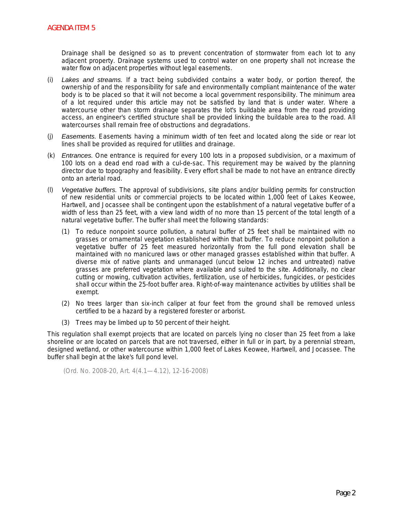Drainage shall be designed so as to prevent concentration of stormwater from each lot to any adjacent property. Drainage systems used to control water on one property shall not increase the water flow on adjacent properties without legal easements.

- (i) *Lakes and streams.* If a tract being subdivided contains a water body, or portion thereof, the ownership of and the responsibility for safe and environmentally compliant maintenance of the water body is to be placed so that it will not become a local government responsibility. The minimum area of a lot required under this article may not be satisfied by land that is under water. Where a watercourse other than storm drainage separates the lot's buildable area from the road providing access, an engineer's certified structure shall be provided linking the buildable area to the road. All watercourses shall remain free of obstructions and degradations.
- (j) *Easements.* Easements having a minimum width of ten feet and located along the side or rear lot lines shall be provided as required for utilities and drainage.
- (k) *Entrances.* One entrance is required for every 100 lots in a proposed subdivision, or a maximum of 100 lots on a dead end road with a cul-de-sac. This requirement may be waived by the planning director due to topography and feasibility. Every effort shall be made to not have an entrance directly onto an arterial road.
- (l) *Vegetative buffers.* The approval of subdivisions, site plans and/or building permits for construction of new residential units or commercial projects to be located within 1,000 feet of Lakes Keowee, Hartwell, and Jocassee shall be contingent upon the establishment of a natural vegetative buffer of a width of less than 25 feet, with a view land width of no more than 15 percent of the total length of a natural vegetative buffer. The buffer shall meet the following standards:
	- (1) To reduce nonpoint source pollution, a natural buffer of 25 feet shall be maintained with no grasses or ornamental vegetation established within that buffer. To reduce nonpoint pollution a vegetative buffer of 25 feet measured horizontally from the full pond elevation shall be maintained with no manicured laws or other managed grasses established within that buffer. A diverse mix of native plants and unmanaged (uncut below 12 inches and untreated) native grasses are preferred vegetation where available and suited to the site. Additionally, no clear cutting or mowing, cultivation activities, fertilization, use of herbicides, fungicides, or pesticides shall occur within the 25-foot buffer area. Right-of-way maintenance activities by utilities shall be exempt.
	- (2) No trees larger than six-inch caliper at four feet from the ground shall be removed unless certified to be a hazard by a registered forester or arborist.
	- (3) Trees may be limbed up to 50 percent of their height.

This regulation shall exempt projects that are located on parcels lying no closer than 25 feet from a lake shoreline or are located on parcels that are not traversed, either in full or in part, by a perennial stream, designed wetland, or other watercourse within 1,000 feet of Lakes Keowee, Hartwell, and Jocassee. The buffer shall begin at the lake's full pond level.

(Ord. No. 2008-20, Art. 4(4.1—4.12), 12-16-2008)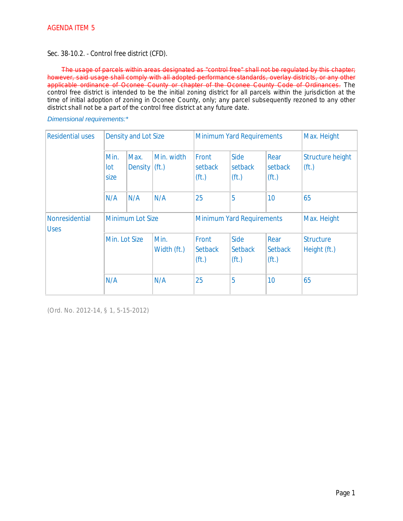Sec. 38‐10.2. ‐ Control free district (CFD).

The usage of parcels within areas designated as "control free" shall not be regulated by this chapter; however, said usage shall comply with all adopted performance standards, overlay districts, or any other applicable ordinance of Oconee County or chapter of the Oconee County Code of Ordinances. The control free district is intended to be the initial zoning district for all parcels within the jurisdiction at the time of initial adoption of zoning in Oconee County, only; any parcel subsequently rezoned to any other district shall not be a part of the control free district at any future date.

*Dimensional requirements:\**

| <b>Residential uses</b>       | <b>Density and Lot Size</b> |                           | Minimum Yard Requirements        |                                       |                                             | Max. Height                                 |                                              |
|-------------------------------|-----------------------------|---------------------------|----------------------------------|---------------------------------------|---------------------------------------------|---------------------------------------------|----------------------------------------------|
|                               | Min.<br>lot<br>size         | Max.<br>Density $ $ (ft.) | Min. width                       | Front<br>setback<br>(f <sub>t</sub> ) | Side<br>setback<br>(f <sub>t</sub> )        | Rear<br>setback<br>(f <sub>t</sub> )        | <b>Structure height</b><br>(f <sup>t</sup> ) |
|                               | N/A                         | N/A                       | N/A                              | 25                                    | 5                                           | 10                                          | 65                                           |
| Nonresidential<br><b>Uses</b> | <b>Minimum Lot Size</b>     |                           | <b>Minimum Yard Requirements</b> |                                       |                                             | Max. Height                                 |                                              |
|                               |                             | Min. Lot Size             | Min.<br>Width (ft.)              | Front<br>Setback<br>(f <sub>t</sub> ) | Side<br><b>Setback</b><br>(f <sub>t</sub> ) | Rear<br><b>Setback</b><br>(f <sub>t</sub> ) | <b>Structure</b><br>Height (ft.)             |
|                               | N/A                         |                           | N/A                              | 25                                    | 5                                           | 10                                          | 65                                           |

(Ord. No. 2012-14, § 1, 5-15-2012)